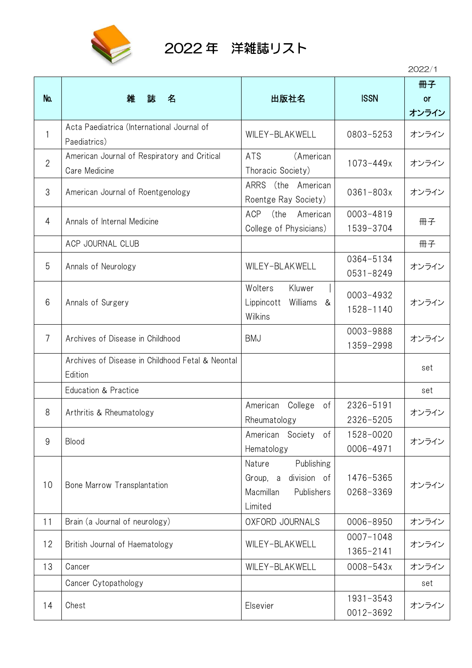

## 2022 年 洋雑誌リスト

2022/1

| No.            | 雑<br>誌<br>名                                                   | 出版社名                                                                                  | <b>ISSN</b>                | 冊子<br><b>or</b><br>オンライン |
|----------------|---------------------------------------------------------------|---------------------------------------------------------------------------------------|----------------------------|--------------------------|
| 1              | Acta Paediatrica (International Journal of<br>Paediatrics)    | WILEY-BLAKWELL                                                                        | 0803-5253                  | オンライン                    |
| $\overline{2}$ | American Journal of Respiratory and Critical<br>Care Medicine | (American<br><b>ATS</b><br>Thoracic Society)                                          | $1073 - 449x$              | オンライン                    |
| 3              | American Journal of Roentgenology                             | ARRS (the American<br>Roentge Ray Society)                                            | $0361 - 803x$              | オンライン                    |
| 4              | Annals of Internal Medicine                                   | <b>ACP</b><br>(the American<br>College of Physicians)                                 | $0003 - 4819$<br>1539-3704 | 冊子                       |
|                | ACP JOURNAL CLUB                                              |                                                                                       |                            | 冊子                       |
| 5              | Annals of Neurology                                           | WILEY-BLAKWELL                                                                        | 0364-5134<br>0531-8249     | オンライン                    |
| 6              | Annals of Surgery                                             | Wolters<br>Kluwer<br>Lippincott<br>Williams &<br>Wilkins                              | 0003-4932<br>1528-1140     | オンライン                    |
| $\overline{7}$ | Archives of Disease in Childhood                              | <b>BMJ</b>                                                                            | 0003-9888<br>1359-2998     | オンライン                    |
|                | Archives of Disease in Childhood Fetal & Neontal<br>Edition   |                                                                                       |                            | set                      |
|                | Education & Practice                                          |                                                                                       |                            | set                      |
| 8              | Arthritis & Rheumatology                                      | American<br>College<br>of<br>Rheumatology                                             | 2326-5191<br>2326-5205     | オンライン                    |
| 9              | Blood                                                         | Society<br>American<br>of<br>Hematology                                               | 1528-0020<br>0006-4971     | オンライン                    |
| 10             | Bone Marrow Transplantation                                   | Publishing<br>Nature<br>Group, a<br>division of<br>Macmillan<br>Publishers<br>Limited | 1476-5365<br>0268-3369     | オンライン                    |
| 11             | Brain (a Journal of neurology)                                | OXFORD JOURNALS                                                                       | 0006-8950                  | オンライン                    |
| 12             | British Journal of Haematology                                | WILEY-BLAKWELL                                                                        | $0007 - 1048$<br>1365-2141 | オンライン                    |
| 13             | Cancer                                                        | WILEY-BLAKWELL                                                                        | $0008 - 543x$              | オンライン                    |
|                | Cancer Cytopathology                                          |                                                                                       |                            | set                      |
| 14             | Chest                                                         | Elsevier                                                                              | 1931-3543<br>0012-3692     | オンライン                    |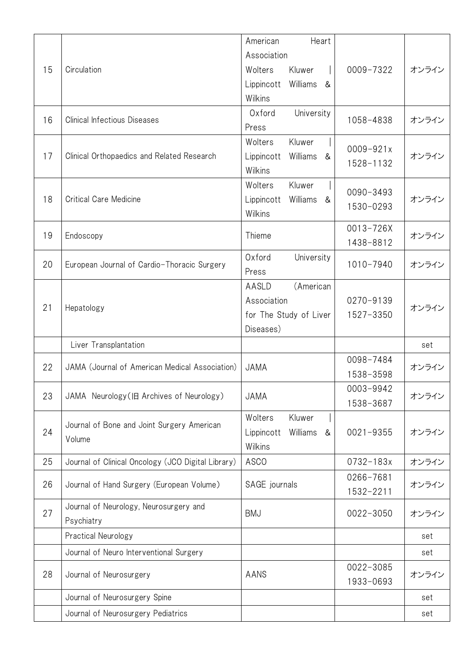|    |                                                    | Heart<br>American                   |               |       |
|----|----------------------------------------------------|-------------------------------------|---------------|-------|
| 15 |                                                    | Association                         |               |       |
|    | Circulation                                        | Wolters<br>Kluwer                   | 0009-7322     | オンライン |
|    |                                                    | Williams<br>Lippincott<br>&         |               |       |
|    |                                                    | Wilkins                             |               |       |
| 16 | <b>Clinical Infectious Diseases</b>                | University<br>Oxford                | 1058-4838     | オンライン |
|    |                                                    | Press                               |               |       |
|    |                                                    | Wolters<br>Kluwer                   | $0009 - 921x$ |       |
| 17 | Clinical Orthopaedics and Related Research         | Lippincott<br>Williams<br>&         | 1528-1132     | オンライン |
|    |                                                    | Wilkins                             |               |       |
|    |                                                    | Wolters<br>Kluwer                   | 0090-3493     |       |
| 18 | <b>Critical Care Medicine</b>                      | Lippincott<br>Williams &            | 1530-0293     | オンライン |
|    |                                                    | Wilkins                             |               |       |
| 19 | Endoscopy                                          | Thieme                              | 0013-726X     | オンライン |
|    |                                                    |                                     | 1438-8812     |       |
| 20 | European Journal of Cardio-Thoracic Surgery        | Oxford<br>University                | 1010-7940     | オンライン |
|    |                                                    | Press                               |               |       |
|    |                                                    | (American<br>AASLD                  |               |       |
| 21 | Hepatology                                         | Association                         | 0270-9139     | オンライン |
|    |                                                    | for The Study of Liver<br>Diseases) | 1527-3350     |       |
|    | Liver Transplantation                              |                                     |               | set   |
|    |                                                    |                                     | 0098-7484     |       |
| 22 | JAMA (Journal of American Medical Association)     | <b>JAMA</b>                         | 1538-3598     | オンライン |
|    |                                                    |                                     | 0003-9942     |       |
| 23 | JAMA Neurology (IE Archives of Neurology)          | JAMA                                | 1538-3687     | オンライン |
|    |                                                    | Wolters<br>Kluwer                   |               |       |
| 24 | Journal of Bone and Joint Surgery American         | Lippincott<br>Williams<br>&         | $0021 - 9355$ | オンライン |
|    | Volume                                             | Wilkins                             |               |       |
| 25 | Journal of Clinical Oncology (JCO Digital Library) | <b>ASCO</b>                         | 0732-183x     | オンライン |
|    |                                                    |                                     | 0266-7681     |       |
| 26 | Journal of Hand Surgery (European Volume)          | SAGE journals                       | 1532-2211     | オンライン |
|    | Journal of Neurology, Neurosurgery and             |                                     |               |       |
| 27 | Psychiatry                                         | <b>BMJ</b>                          | 0022-3050     | オンライン |
|    | Practical Neurology                                |                                     |               | set   |
|    | Journal of Neuro Interventional Surgery            |                                     |               | set   |
| 28 | Journal of Neurosurgery                            |                                     | 0022-3085     | オンライン |
|    |                                                    | AANS                                | 1933-0693     |       |
|    | Journal of Neurosurgery Spine                      |                                     |               | set   |
|    | Journal of Neurosurgery Pediatrics                 |                                     |               | set   |